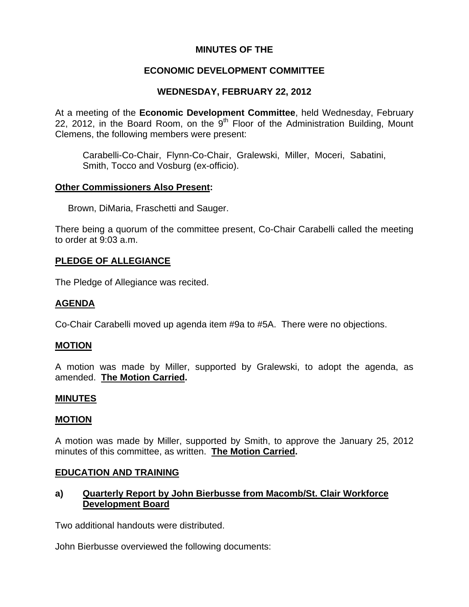## **MINUTES OF THE**

# **ECONOMIC DEVELOPMENT COMMITTEE**

# **WEDNESDAY, FEBRUARY 22, 2012**

At a meeting of the **Economic Development Committee**, held Wednesday, February 22, 2012, in the Board Room, on the  $9<sup>th</sup>$  Floor of the Administration Building, Mount Clemens, the following members were present:

Carabelli-Co-Chair, Flynn-Co-Chair, Gralewski, Miller, Moceri, Sabatini, Smith, Tocco and Vosburg (ex-officio).

## **Other Commissioners Also Present:**

Brown, DiMaria, Fraschetti and Sauger.

There being a quorum of the committee present, Co-Chair Carabelli called the meeting to order at 9:03 a.m.

# **PLEDGE OF ALLEGIANCE**

The Pledge of Allegiance was recited.

# **AGENDA**

Co-Chair Carabelli moved up agenda item #9a to #5A. There were no objections.

### **MOTION**

A motion was made by Miller, supported by Gralewski, to adopt the agenda, as amended. **The Motion Carried.** 

### **MINUTES**

### **MOTION**

A motion was made by Miller, supported by Smith, to approve the January 25, 2012 minutes of this committee, as written. **The Motion Carried.** 

### **EDUCATION AND TRAINING**

# **a) Quarterly Report by John Bierbusse from Macomb/St. Clair Workforce Development Board**

Two additional handouts were distributed.

John Bierbusse overviewed the following documents: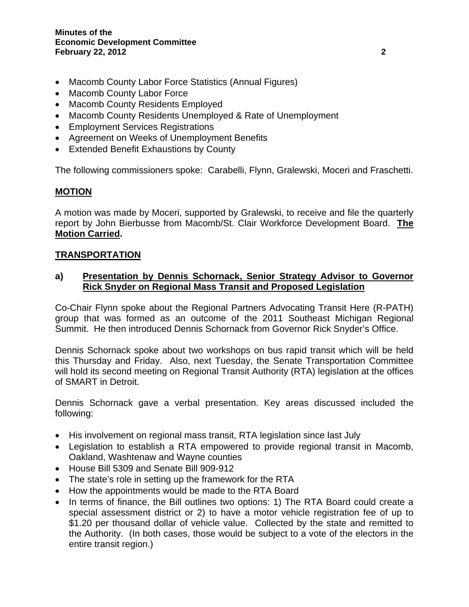- Macomb County Labor Force Statistics (Annual Figures)
- Macomb County Labor Force
- Macomb County Residents Employed
- Macomb County Residents Unemployed & Rate of Unemployment
- Employment Services Registrations
- Agreement on Weeks of Unemployment Benefits
- Extended Benefit Exhaustions by County

The following commissioners spoke: Carabelli, Flynn, Gralewski, Moceri and Fraschetti.

## **MOTION**

A motion was made by Moceri, supported by Gralewski, to receive and file the quarterly report by John Bierbusse from Macomb/St. Clair Workforce Development Board. **The Motion Carried.** 

## **TRANSPORTATION**

## **a) Presentation by Dennis Schornack, Senior Strategy Advisor to Governor Rick Snyder on Regional Mass Transit and Proposed Legislation**

Co-Chair Flynn spoke about the Regional Partners Advocating Transit Here (R-PATH) group that was formed as an outcome of the 2011 Southeast Michigan Regional Summit. He then introduced Dennis Schornack from Governor Rick Snyder's Office.

Dennis Schornack spoke about two workshops on bus rapid transit which will be held this Thursday and Friday. Also, next Tuesday, the Senate Transportation Committee will hold its second meeting on Regional Transit Authority (RTA) legislation at the offices of SMART in Detroit.

Dennis Schornack gave a verbal presentation. Key areas discussed included the following:

- His involvement on regional mass transit, RTA legislation since last July
- Legislation to establish a RTA empowered to provide regional transit in Macomb, Oakland, Washtenaw and Wayne counties
- House Bill 5309 and Senate Bill 909-912
- The state's role in setting up the framework for the RTA
- How the appointments would be made to the RTA Board
- In terms of finance, the Bill outlines two options: 1) The RTA Board could create a special assessment district or 2) to have a motor vehicle registration fee of up to \$1.20 per thousand dollar of vehicle value. Collected by the state and remitted to the Authority. (In both cases, those would be subject to a vote of the electors in the entire transit region.)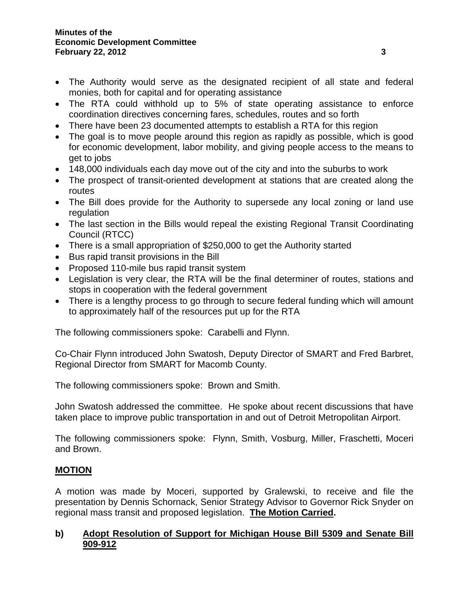- The Authority would serve as the designated recipient of all state and federal monies, both for capital and for operating assistance
- The RTA could withhold up to 5% of state operating assistance to enforce coordination directives concerning fares, schedules, routes and so forth
- There have been 23 documented attempts to establish a RTA for this region
- The goal is to move people around this region as rapidly as possible, which is good for economic development, labor mobility, and giving people access to the means to get to jobs
- 148,000 individuals each day move out of the city and into the suburbs to work
- The prospect of transit-oriented development at stations that are created along the routes
- The Bill does provide for the Authority to supersede any local zoning or land use regulation
- The last section in the Bills would repeal the existing Regional Transit Coordinating Council (RTCC)
- There is a small appropriation of \$250,000 to get the Authority started
- Bus rapid transit provisions in the Bill
- Proposed 110-mile bus rapid transit system
- Legislation is very clear, the RTA will be the final determiner of routes, stations and stops in cooperation with the federal government
- There is a lengthy process to go through to secure federal funding which will amount to approximately half of the resources put up for the RTA

The following commissioners spoke: Carabelli and Flynn.

Co-Chair Flynn introduced John Swatosh, Deputy Director of SMART and Fred Barbret, Regional Director from SMART for Macomb County.

The following commissioners spoke: Brown and Smith.

John Swatosh addressed the committee. He spoke about recent discussions that have taken place to improve public transportation in and out of Detroit Metropolitan Airport.

The following commissioners spoke: Flynn, Smith, Vosburg, Miller, Fraschetti, Moceri and Brown.

# **MOTION**

A motion was made by Moceri, supported by Gralewski, to receive and file the presentation by Dennis Schornack, Senior Strategy Advisor to Governor Rick Snyder on regional mass transit and proposed legislation. **The Motion Carried.** 

# **b) Adopt Resolution of Support for Michigan House Bill 5309 and Senate Bill 909-912**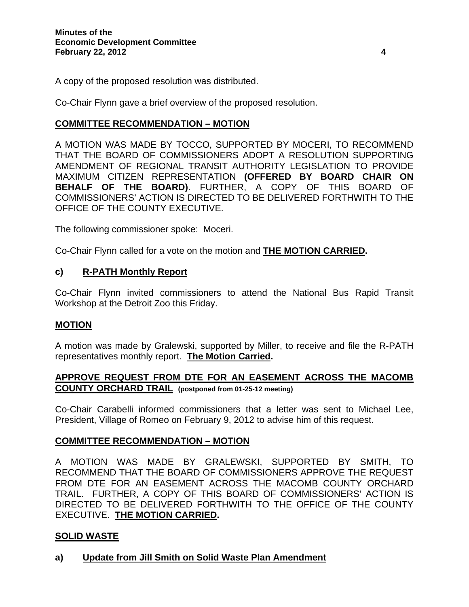A copy of the proposed resolution was distributed.

Co-Chair Flynn gave a brief overview of the proposed resolution.

# **COMMITTEE RECOMMENDATION – MOTION**

A MOTION WAS MADE BY TOCCO, SUPPORTED BY MOCERI, TO RECOMMEND THAT THE BOARD OF COMMISSIONERS ADOPT A RESOLUTION SUPPORTING AMENDMENT OF REGIONAL TRANSIT AUTHORITY LEGISLATION TO PROVIDE MAXIMUM CITIZEN REPRESENTATION **(OFFERED BY BOARD CHAIR ON BEHALF OF THE BOARD)**. FURTHER, A COPY OF THIS BOARD OF COMMISSIONERS' ACTION IS DIRECTED TO BE DELIVERED FORTHWITH TO THE OFFICE OF THE COUNTY EXECUTIVE.

The following commissioner spoke: Moceri.

Co-Chair Flynn called for a vote on the motion and **THE MOTION CARRIED.** 

## **c) R-PATH Monthly Report**

Co-Chair Flynn invited commissioners to attend the National Bus Rapid Transit Workshop at the Detroit Zoo this Friday.

### **MOTION**

A motion was made by Gralewski, supported by Miller, to receive and file the R-PATH representatives monthly report. **The Motion Carried.** 

# **APPROVE REQUEST FROM DTE FOR AN EASEMENT ACROSS THE MACOMB COUNTY ORCHARD TRAIL (postponed from 01-25-12 meeting)**

Co-Chair Carabelli informed commissioners that a letter was sent to Michael Lee, President, Village of Romeo on February 9, 2012 to advise him of this request.

# **COMMITTEE RECOMMENDATION – MOTION**

A MOTION WAS MADE BY GRALEWSKI, SUPPORTED BY SMITH, TO RECOMMEND THAT THE BOARD OF COMMISSIONERS APPROVE THE REQUEST FROM DTE FOR AN EASEMENT ACROSS THE MACOMB COUNTY ORCHARD TRAIL. FURTHER, A COPY OF THIS BOARD OF COMMISSIONERS' ACTION IS DIRECTED TO BE DELIVERED FORTHWITH TO THE OFFICE OF THE COUNTY EXECUTIVE. **THE MOTION CARRIED.** 

# **SOLID WASTE**

**a) Update from Jill Smith on Solid Waste Plan Amendment**